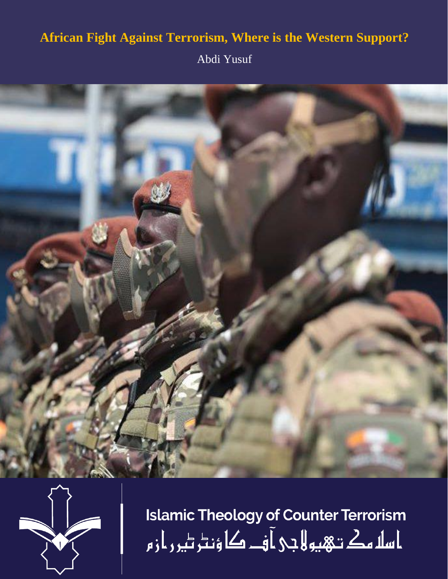## **African Fight Against Terrorism, Where is the Western Support?**

Abdi Yusuf





**Islamic Theology of Counter Terrorism** ا سلا مك تـهبو لا جى آف كا ؤنٹر ٹير ر از م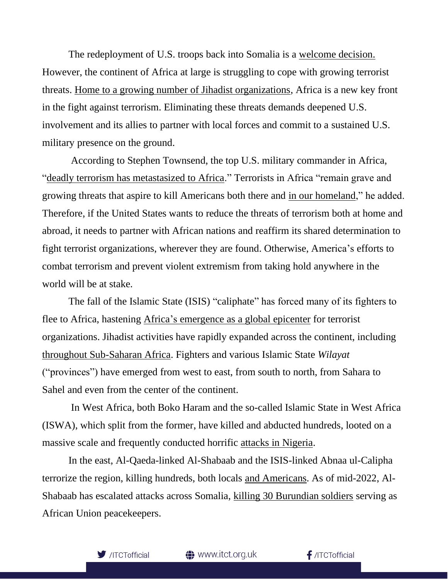The redeployment of U.S. troops back into Somalia is a [welcome](https://www.voanews.com/a/new-somali-president-welcomes-return-of-us-troops/6577228.html) decision. However, the continent of Africa at large is struggling to cope with growing terrorist threats. [Home to a growing number of Jihadist organizations,](https://www.bbc.com/news/world-africa-55147863) Africa is a new key front in the fight against terrorism. Eliminating these threats demands deepened U.S. involvement and its allies to partner with local forces and commit to a sustained U.S. military presence on the ground.

According to Stephen Townsend, the top U.S. military commander in Africa, ["deadly terrorism has metastasized to Africa.](https://foreignpolicy.com/2022/05/16/us-troops-somalia-return/)" Terrorists in Africa "remain grave and growing threats that aspire to kill Americans both there and [in our homeland,](https://foreignpolicy.com/2022/05/16/us-troops-somalia-return/)" he added. Therefore, if the United States wants to reduce the threats of terrorism both at home and abroad, it needs to partner with African nations and reaffirm its shared determination to fight terrorist organizations, wherever they are found. Otherwise, America's efforts to combat terrorism and prevent violent extremism from taking hold anywhere in the world will be at stake.

The fall of the Islamic State (ISIS) "caliphate" has forced many of its fighters to flee to Africa, hastening Africa's emergence [as a global epicenter](https://reliefweb.int/report/world/global-terrorism-index-2022) for terrorist organizations. Jihadist activities have rapidly expanded across the continent, including throughout Sub-Saharan Africa. Fighters and various Islamic State *Wilayat* ("provinces") have emerged from west to east, from south to north, from Sahara to Sahel and even from the center of the continent.

In West Africa, both Boko Haram and the so-called Islamic State in West Africa (ISWA), which split from the former, have killed and abducted hundreds, looted on a massive scale and frequently conducted horrific [attacks in Nigeria.](https://www.aljazeera.com/news/2022/4/21/isil-group-claims-nigeria-bombing-says-about-30-killed-or-hurt)

In the east, Al-Qaeda-linked Al-Shabaab and the ISIS-linked Abnaa ul-Calipha terrorize the region, killing hundreds, both locals [and Americans.](https://www.nytimes.com/2020/01/22/world/africa/shabab-kenya-terrorism.html) As of mid-2022, Al-Shabaab has escalated attacks across Somalia, [killing 30 Burundian soldiers](https://www.voanews.com/a/at-least-30-burundian-au-soldiers-killed-in-al-shabab-attack-official-says-/6557087.html) serving as African Union peacekeepers.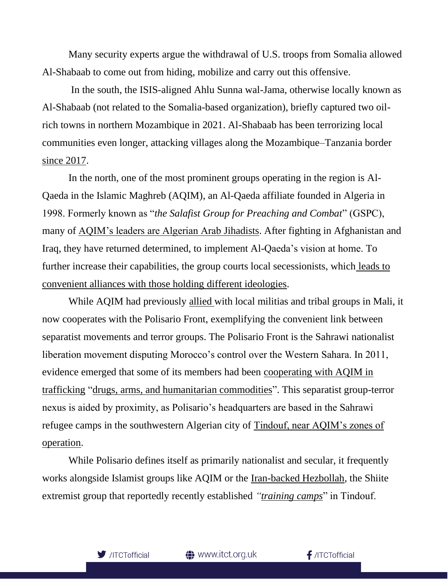Many security experts argue the withdrawal of U.S. troops from Somalia allowed Al-Shabaab to come out from hiding, mobilize and carry out this offensive.

In the south, the ISIS-aligned Ahlu Sunna wal-Jama, otherwise locally known as Al-Shabaab (not related to the Somalia-based organization), briefly captured two oilrich towns in northern Mozambique in 2021. Al-Shabaab has been terrorizing local communities even longer, attacking villages along the Mozambique–Tanzania border [since 2017.](https://www.crisisgroup.org/africa/southern-africa/mozambique/303-stemming-insurrection-mozambiques-cabo-delgado)

In the north, one of the most prominent groups operating in the region is Al-Qaeda in the Islamic Maghreb (AQIM), an Al-Qaeda affiliate founded in Algeria in 1998. Formerly known as "*the Salafist Group for Preaching and Combat*" (GSPC), many of [AQIM's leaders are Algerian Arab Jihadists](https://www.aljazeera.com/news/2020/11/22/al-qaeda-in-north-africa-appoints-leader-to-replace-droukdel). After fighting in Afghanistan and Iraq, they have returned determined, to implement Al-Qaeda's vision at home. To further increase their capabilities, the group courts local secessionists, which [leads](https://foreignpolicy.com/2011/01/03/unlikely-bedfellows-are-some-saharan-marxists-joining-al-qaeda-operations-in-north-africa/) to [convenient alliances with those holding different ideologies.](https://foreignpolicy.com/2011/01/03/unlikely-bedfellows-are-some-saharan-marxists-joining-al-qaeda-operations-in-north-africa/)

While AQIM had previously [allied](https://www.swp-berlin.org/publications/products/research_papers/2015_RP05_sbg_web.pdf) with local militias and tribal groups in Mali, it now cooperates with the Polisario Front, exemplifying the convenient link between separatist movements and terror groups. The Polisario Front is the Sahrawi nationalist liberation movement disputing Morocco's control over the Western Sahara. In 2011, evidence emerged that some of its members had been [cooperating with AQIM in](https://www.washingtonpost.com/blogs/right-turn/post/al-qaeda-affiliate-flexing-its-muscles-in-the-maghreb/2011/11/05/gIQANMbDqM_blog.html)  [trafficking](https://www.washingtonpost.com/blogs/right-turn/post/al-qaeda-affiliate-flexing-its-muscles-in-the-maghreb/2011/11/05/gIQANMbDqM_blog.html) ["drugs, arms, and humanitarian commodities"](https://africacenter.org/spotlight/sahrawi-insurgency-provide-opening-aqim/). This separatist group-terror nexus is aided by proximity, as Polisario's headquarters are based in the Sahrawi refugee camps in the southwestern Algerian city of [Tindouf, near AQIM's zones of](https://carnegieendowment.org/2012/03/12/simmering-discontent-in-western-sahara-pub-47461)  [operation.](https://carnegieendowment.org/2012/03/12/simmering-discontent-in-western-sahara-pub-47461)

While Polisario defines itself as primarily nationalist and secular, it frequently works alongside Islamist groups like AQIM or the [Iran-backed Hezbollah,](https://www.reuters.com/article/us-morocco-iran-idUSKBN1I23VF) the Shiite extremist group that reportedly recently established *["training camps](https://www.eupoliticalreport.eu/oppression-of-the-sahrawi-people-by-the-polisario-front-time-for-justice/)*" in Tindouf.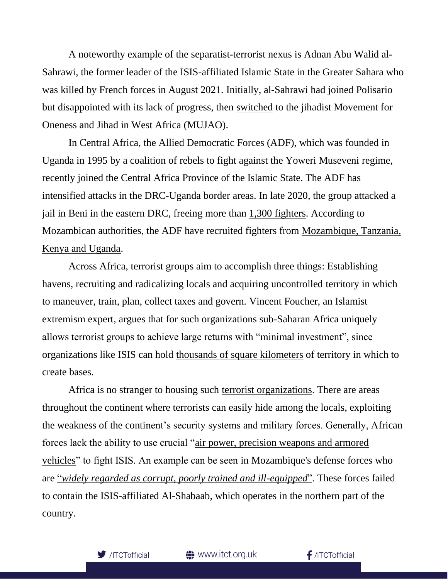A noteworthy example of the separatist-terrorist nexus is Adnan Abu Walid al-Sahrawi, the former leader of the ISIS-affiliated Islamic State in the Greater Sahara who was killed by French forces in August 2021. Initially, al-Sahrawi had joined Polisario but disappointed with its lack of progress, then [switched](https://theconversation.com/americas-options-in-niger-join-forces-to-reduce-tensions-or-fan-the-flames-86655) to the jihadist Movement for Oneness and Jihad in West Africa (MUJAO).

In Central Africa, the Allied Democratic Forces (ADF), which was founded in Uganda in 1995 by a coalition of rebels to fight against the Yoweri Museveni regime, recently joined the Central Africa Province of the Islamic State. The ADF has intensified attacks in the DRC-Uganda border areas. In late 2020, the group attacked a jail in Beni in the eastern DRC, freeing more than [1,300 fighters.](https://www.reuters.com/article/ozatp-uk-congo-crime-idAFKBN2751R8-OZATP) According to Mozambican authorities, the ADF have recruited fighters from [Mozambique, Tanzania,](https://www.crisisgroup.org/africa/southern-africa/mozambique/b178-winning-peace-mozambiques-embattled-north)  [Kenya and Uganda.](https://www.crisisgroup.org/africa/southern-africa/mozambique/b178-winning-peace-mozambiques-embattled-north)

Across Africa, terrorist groups aim to accomplish three things: Establishing havens, recruiting and radicalizing locals and acquiring uncontrolled territory in which to maneuver, train, plan, collect taxes and govern. Vincent Foucher, an Islamist extremism expert, argues that for such organizations sub-Saharan Africa uniquely allows terrorist groups to achieve large returns with "minimal investment", since organizations like ISIS can hold [thousands of square kilometers](https://www.theguardian.com/world/2021/jun/25/isis-linked-groups-open-up-new-fronts-across-sub-saharan-africa) of territory in which to create bases.

Africa is no stranger to housing such [terrorist organizations.](https://issafrica.org/iss-today/west-africa-must-confront-its-foreign-terrorist-fighters) There are areas throughout the continent where terrorists can easily hide among the locals, exploiting the weakness of the continent's security systems and military forces. Generally, African forces lack the ability to use crucial ["air power, precision weapons and armored](https://www.bbc.com/news/world-africa-56597861)  [vehicles"](https://www.bbc.com/news/world-africa-56597861) to fight ISIS. An example can be seen in Mozambique's defense forces who are "*[widely regarded as corrupt, poorly trained and ill-equipped](https://www.bbc.com/news/world-africa-58079510)*". These forces failed to contain the ISIS-affiliated Al-Shabaab, which operates in the northern part of the country.